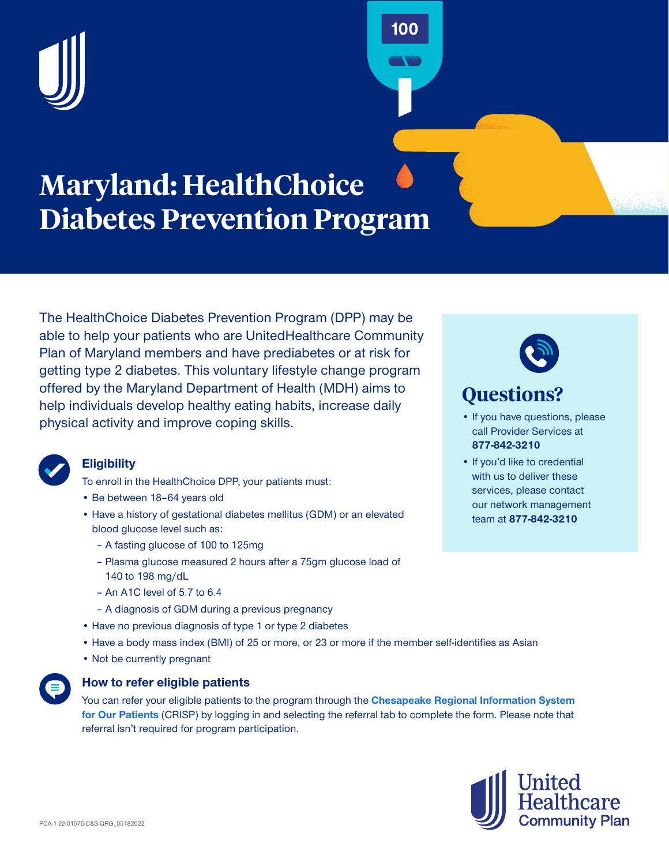

# **Maryland: HealthChoice Diabetes Prevention Program**

The [HealthChoice Diabetes Prevention Program](https://health.maryland.gov/mmcp/Pages/HealthChoice-DPP.aspx) (DPP) may be able to help your patients who are UnitedHealthcare Community Plan of Maryland members and have prediabetes or at risk for getting type 2 diabetes. This voluntary lifestyle change program offered by the Maryland Department of Health (MDH) aims to help individuals develop healthy eating habits, increase daily physical activity and improve coping skills.

• Be between 18–64 years old

**Eligibility**

- Have a history of gestational diabetes mellitus (GDM) or an elevated blood glucose level such as:
	- A fasting glucose of 100 to 125mg
	- Plasma glucose measured 2 hours after a 75gm glucose load of 140 to 198 mg/dL
	- An A1C level of 5.7 to 6.4
	- A diagnosis of GDM during a previous pregnancy

To enroll in the HealthChoice DPP, your patients must:

- Have no previous diagnosis of type 1 or type 2 diabetes
- Have a body mass index (BMI) of 25 or more, or 23 or more if the member self-identifies as Asian
- Not be currently pregnant



## **How to refer eligible patients**

You can refer your eligible patients to the program through the **[Chesapeake Regional Information System](https://crisphealth.force.com/crisp2_login)  [for Our Patients](https://crisphealth.force.com/crisp2_login)** (CRISP) by logging in and selecting the referral tab to complete the form. Please note that referral isn't required for program participation.



## **Questions?**

100

- **•** If you have questions, please call Provider Services at **877-842-3210**
- If you'd like to credential with us to deliver these services, please contact our network management team at **877-842-3210**